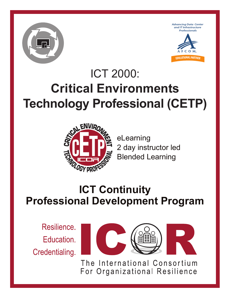





# ICT 2000: **Critical Environments Technology Professional (CETP)**



eLearning 2 day instructor led Blended Learning

## **ICT Continuity Professional Development Program**

Resilience. Education. Credentialing.



The International Consortium For Organizational Resilience